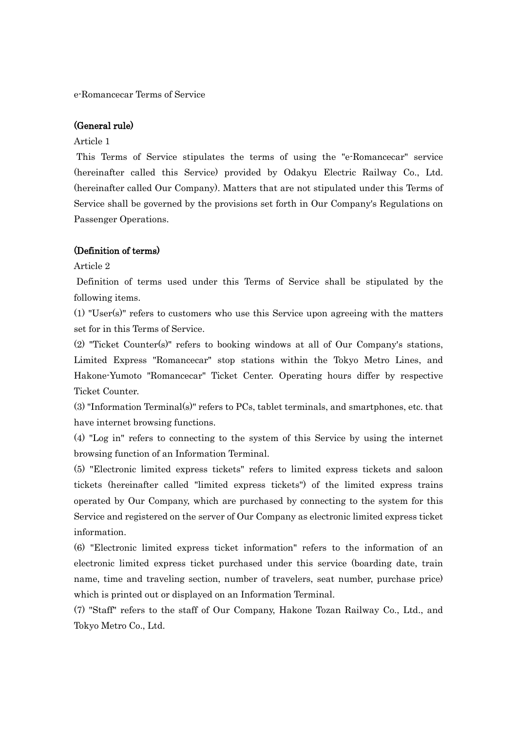e-Romancecar Terms of Service

#### (General rule)

#### Article 1

This Terms of Service stipulates the terms of using the "e-Romancecar" service (hereinafter called this Service) provided by Odakyu Electric Railway Co., Ltd. (hereinafter called Our Company). Matters that are not stipulated under this Terms of Service shall be governed by the provisions set forth in Our Company's Regulations on Passenger Operations.

#### (Definition of terms)

Article 2

Definition of terms used under this Terms of Service shall be stipulated by the following items.

(1) "User(s)" refers to customers who use this Service upon agreeing with the matters set for in this Terms of Service.

(2) "Ticket Counter(s)" refers to booking windows at all of Our Company's stations, Limited Express "Romancecar" stop stations within the Tokyo Metro Lines, and Hakone-Yumoto "Romancecar" Ticket Center. Operating hours differ by respective Ticket Counter.

(3) "Information Terminal(s)" refers to PCs, tablet terminals, and smartphones, etc. that have internet browsing functions.

(4) "Log in" refers to connecting to the system of this Service by using the internet browsing function of an Information Terminal.

(5) "Electronic limited express tickets" refers to limited express tickets and saloon tickets (hereinafter called "limited express tickets") of the limited express trains operated by Our Company, which are purchased by connecting to the system for this Service and registered on the server of Our Company as electronic limited express ticket information.

(6) "Electronic limited express ticket information" refers to the information of an electronic limited express ticket purchased under this service (boarding date, train name, time and traveling section, number of travelers, seat number, purchase price) which is printed out or displayed on an Information Terminal.

(7) "Staff" refers to the staff of Our Company, Hakone Tozan Railway Co., Ltd., and Tokyo Metro Co., Ltd.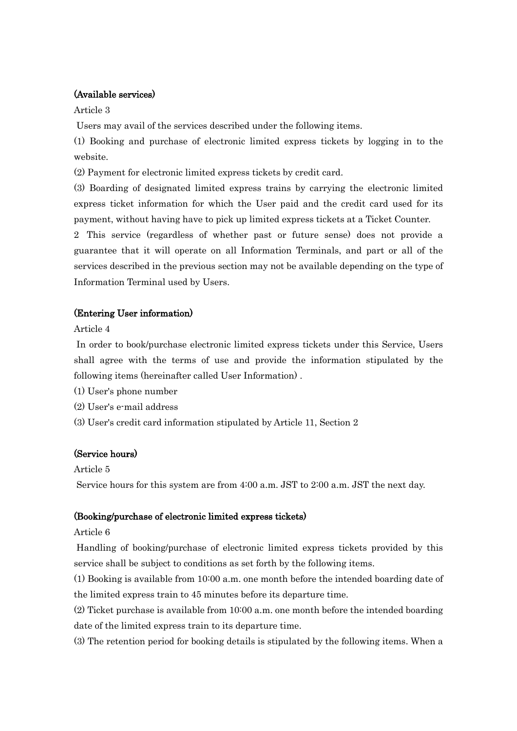# (Available services)

Article 3

Users may avail of the services described under the following items.

(1) Booking and purchase of electronic limited express tickets by logging in to the website.

(2) Payment for electronic limited express tickets by credit card.

(3) Boarding of designated limited express trains by carrying the electronic limited express ticket information for which the User paid and the credit card used for its payment, without having have to pick up limited express tickets at a Ticket Counter.

2 This service (regardless of whether past or future sense) does not provide a guarantee that it will operate on all Information Terminals, and part or all of the services described in the previous section may not be available depending on the type of Information Terminal used by Users.

# (Entering User information)

Article 4

In order to book/purchase electronic limited express tickets under this Service, Users shall agree with the terms of use and provide the information stipulated by the following items (hereinafter called User Information) .

(1) User's phone number

(2) User's e-mail address

(3) User's credit card information stipulated by Article 11, Section 2

# (Service hours)

Article 5

Service hours for this system are from 4:00 a.m. JST to 2:00 a.m. JST the next day.

# (Booking/purchase of electronic limited express tickets)

# Article 6

Handling of booking/purchase of electronic limited express tickets provided by this service shall be subject to conditions as set forth by the following items.

(1) Booking is available from 10:00 a.m. one month before the intended boarding date of the limited express train to 45 minutes before its departure time.

(2) Ticket purchase is available from 10:00 a.m. one month before the intended boarding date of the limited express train to its departure time.

(3) The retention period for booking details is stipulated by the following items. When a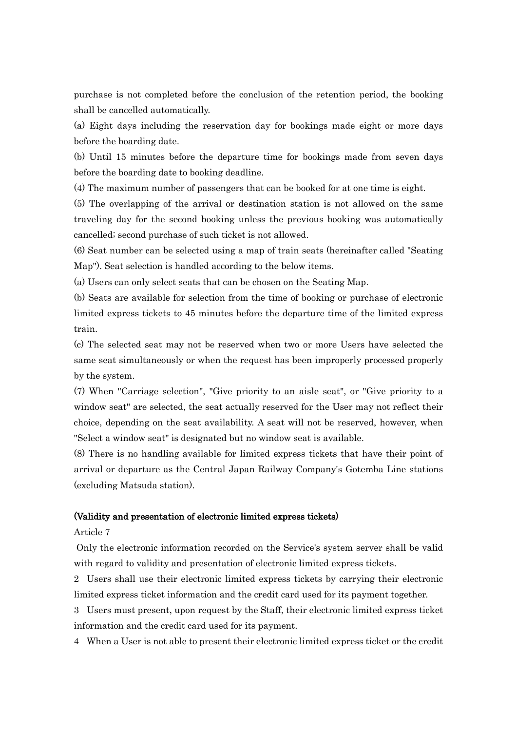purchase is not completed before the conclusion of the retention period, the booking shall be cancelled automatically.

(a) Eight days including the reservation day for bookings made eight or more days before the boarding date.

(b) Until 15 minutes before the departure time for bookings made from seven days before the boarding date to booking deadline.

(4) The maximum number of passengers that can be booked for at one time is eight.

(5) The overlapping of the arrival or destination station is not allowed on the same traveling day for the second booking unless the previous booking was automatically cancelled; second purchase of such ticket is not allowed.

(6) Seat number can be selected using a map of train seats (hereinafter called "Seating Map"). Seat selection is handled according to the below items.

(a) Users can only select seats that can be chosen on the Seating Map.

(b) Seats are available for selection from the time of booking or purchase of electronic limited express tickets to 45 minutes before the departure time of the limited express train.

(c) The selected seat may not be reserved when two or more Users have selected the same seat simultaneously or when the request has been improperly processed properly by the system.

(7) When "Carriage selection", "Give priority to an aisle seat", or "Give priority to a window seat" are selected, the seat actually reserved for the User may not reflect their choice, depending on the seat availability. A seat will not be reserved, however, when "Select a window seat" is designated but no window seat is available.

(8) There is no handling available for limited express tickets that have their point of arrival or departure as the Central Japan Railway Company's Gotemba Line stations (excluding Matsuda station).

## (Validity and presentation of electronic limited express tickets)

#### Article 7

Only the electronic information recorded on the Service's system server shall be valid with regard to validity and presentation of electronic limited express tickets.

2 Users shall use their electronic limited express tickets by carrying their electronic limited express ticket information and the credit card used for its payment together.

3 Users must present, upon request by the Staff, their electronic limited express ticket information and the credit card used for its payment.

4 When a User is not able to present their electronic limited express ticket or the credit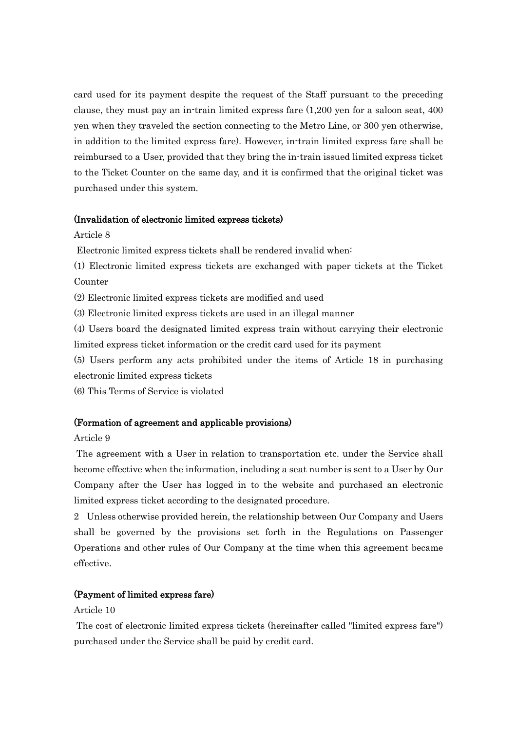card used for its payment despite the request of the Staff pursuant to the preceding clause, they must pay an in-train limited express fare (1,200 yen for a saloon seat, 400 yen when they traveled the section connecting to the Metro Line, or 300 yen otherwise, in addition to the limited express fare). However, in-train limited express fare shall be reimbursed to a User, provided that they bring the in-train issued limited express ticket to the Ticket Counter on the same day, and it is confirmed that the original ticket was purchased under this system.

### (Invalidation of electronic limited express tickets)

Article 8

Electronic limited express tickets shall be rendered invalid when:

(1) Electronic limited express tickets are exchanged with paper tickets at the Ticket Counter

(2) Electronic limited express tickets are modified and used

(3) Electronic limited express tickets are used in an illegal manner

(4) Users board the designated limited express train without carrying their electronic limited express ticket information or the credit card used for its payment

(5) Users perform any acts prohibited under the items of Article 18 in purchasing electronic limited express tickets

(6) This Terms of Service is violated

# (Formation of agreement and applicable provisions)

### Article 9

The agreement with a User in relation to transportation etc. under the Service shall become effective when the information, including a seat number is sent to a User by Our Company after the User has logged in to the website and purchased an electronic limited express ticket according to the designated procedure.

2 Unless otherwise provided herein, the relationship between Our Company and Users shall be governed by the provisions set forth in the Regulations on Passenger Operations and other rules of Our Company at the time when this agreement became effective.

## (Payment of limited express fare)

## Article 10

The cost of electronic limited express tickets (hereinafter called "limited express fare") purchased under the Service shall be paid by credit card.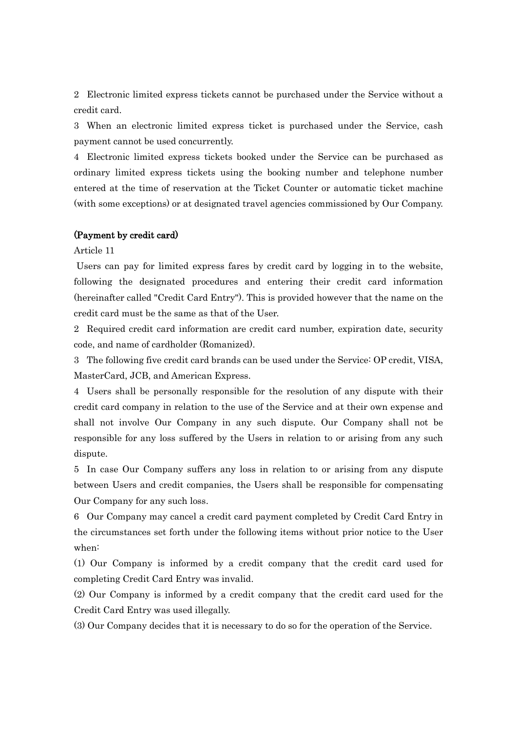2 Electronic limited express tickets cannot be purchased under the Service without a credit card.

3 When an electronic limited express ticket is purchased under the Service, cash payment cannot be used concurrently.

4 Electronic limited express tickets booked under the Service can be purchased as ordinary limited express tickets using the booking number and telephone number entered at the time of reservation at the Ticket Counter or automatic ticket machine (with some exceptions) or at designated travel agencies commissioned by Our Company.

## (Payment by credit card)

Article 11

Users can pay for limited express fares by credit card by logging in to the website, following the designated procedures and entering their credit card information (hereinafter called "Credit Card Entry"). This is provided however that the name on the credit card must be the same as that of the User.

2 Required credit card information are credit card number, expiration date, security code, and name of cardholder (Romanized).

3 The following five credit card brands can be used under the Service: OP credit, VISA, MasterCard, JCB, and American Express.

4 Users shall be personally responsible for the resolution of any dispute with their credit card company in relation to the use of the Service and at their own expense and shall not involve Our Company in any such dispute. Our Company shall not be responsible for any loss suffered by the Users in relation to or arising from any such dispute.

5 In case Our Company suffers any loss in relation to or arising from any dispute between Users and credit companies, the Users shall be responsible for compensating Our Company for any such loss.

6 Our Company may cancel a credit card payment completed by Credit Card Entry in the circumstances set forth under the following items without prior notice to the User when:

(1) Our Company is informed by a credit company that the credit card used for completing Credit Card Entry was invalid.

(2) Our Company is informed by a credit company that the credit card used for the Credit Card Entry was used illegally.

(3) Our Company decides that it is necessary to do so for the operation of the Service.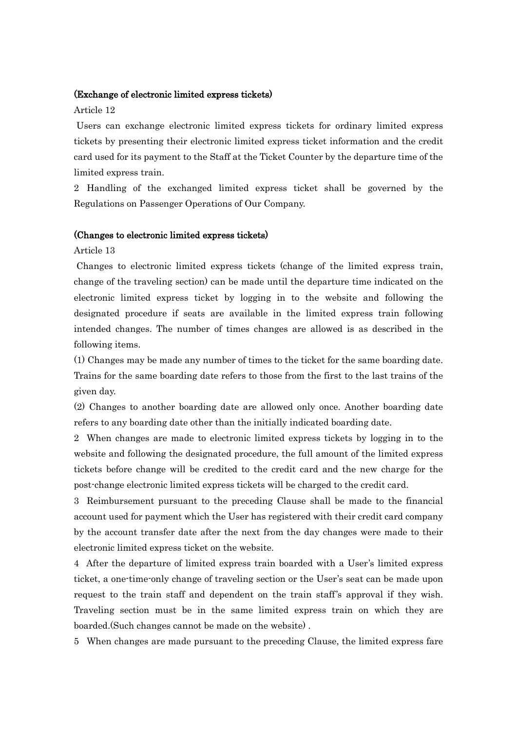#### (Exchange of electronic limited express tickets)

## Article 12

Users can exchange electronic limited express tickets for ordinary limited express tickets by presenting their electronic limited express ticket information and the credit card used for its payment to the Staff at the Ticket Counter by the departure time of the limited express train.

2 Handling of the exchanged limited express ticket shall be governed by the Regulations on Passenger Operations of Our Company.

#### (Changes to electronic limited express tickets)

Article 13

Changes to electronic limited express tickets (change of the limited express train, change of the traveling section) can be made until the departure time indicated on the electronic limited express ticket by logging in to the website and following the designated procedure if seats are available in the limited express train following intended changes. The number of times changes are allowed is as described in the following items.

(1) Changes may be made any number of times to the ticket for the same boarding date. Trains for the same boarding date refers to those from the first to the last trains of the given day.

(2) Changes to another boarding date are allowed only once. Another boarding date refers to any boarding date other than the initially indicated boarding date.

2 When changes are made to electronic limited express tickets by logging in to the website and following the designated procedure, the full amount of the limited express tickets before change will be credited to the credit card and the new charge for the post-change electronic limited express tickets will be charged to the credit card.

3 Reimbursement pursuant to the preceding Clause shall be made to the financial account used for payment which the User has registered with their credit card company by the account transfer date after the next from the day changes were made to their electronic limited express ticket on the website.

4 After the departure of limited express train boarded with a User's limited express ticket, a one-time-only change of traveling section or the User's seat can be made upon request to the train staff and dependent on the train staff's approval if they wish. Traveling section must be in the same limited express train on which they are boarded.(Such changes cannot be made on the website) .

5 When changes are made pursuant to the preceding Clause, the limited express fare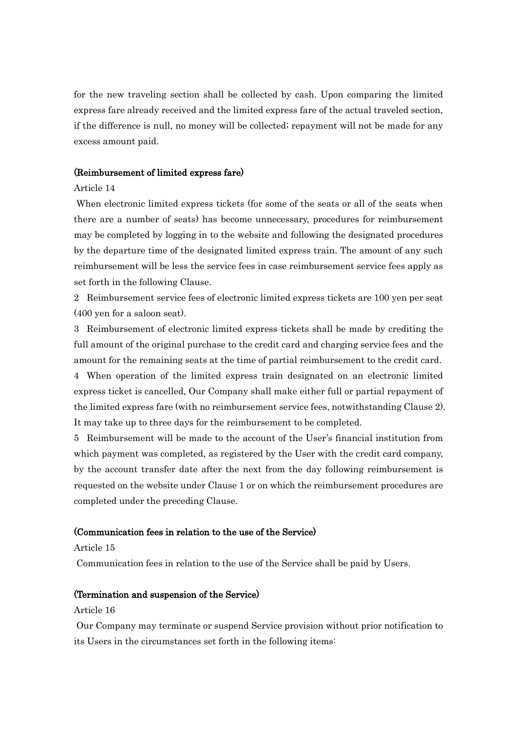for the new traveling section shall be collected by cash. Upon comparing the limited express fare already received and the limited express fare of the actual traveled section, if the difference is null, no money will be collected; repayment will not be made for any excess amount paid.

### (Reimbursement of limited express fare)

#### Article 14

When electronic limited express tickets (for some of the seats or all of the seats when there are a number of seats) has become unnecessary, procedures for reimbursement may be completed by logging in to the website and following the designated procedures by the departure time of the designated limited express train. The amount of any such reimbursement will be less the service fees in case reimbursement service fees apply as set forth in the following Clause.

2 Reimbursement service fees of electronic limited express tickets are 100 yen per seat (400 yen for a saloon seat).

3 Reimbursement of electronic limited express tickets shall be made by crediting the full amount of the original purchase to the credit card and charging service fees and the amount for the remaining seats at the time of partial reimbursement to the credit card.

4 When operation of the limited express train designated on an electronic limited express ticket is cancelled, Our Company shall make either full or partial repayment of the limited express fare (with no reimbursement service fees, notwithstanding Clause 2). It may take up to three days for the reimbursement to be completed.

5 Reimbursement will be made to the account of the User's financial institution from which payment was completed, as registered by the User with the credit card company, by the account transfer date after the next from the day following reimbursement is requested on the website under Clause 1 or on which the reimbursement procedures are completed under the preceding Clause.

## (Communication fees in relation to the use of the Service)

#### Article 15

Communication fees in relation to the use of the Service shall be paid by Users.

#### (Termination and suspension of the Service)

### Article 16

Our Company may terminate or suspend Service provision without prior notification to its Users in the circumstances set forth in the following items: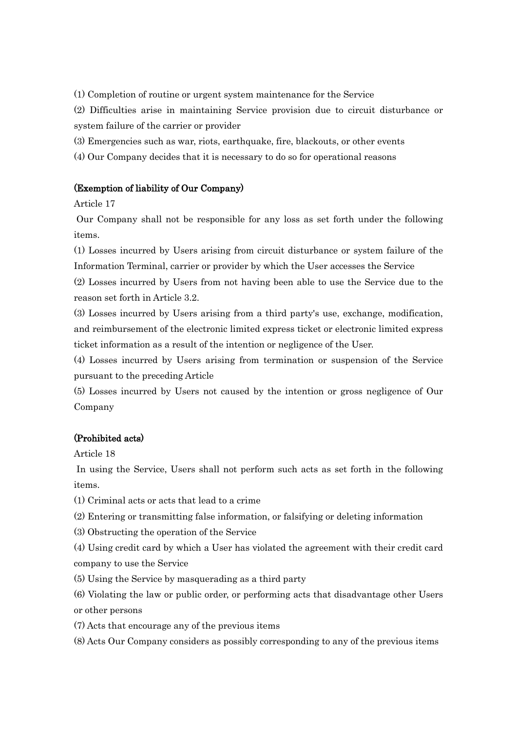(1) Completion of routine or urgent system maintenance for the Service

(2) Difficulties arise in maintaining Service provision due to circuit disturbance or system failure of the carrier or provider

(3) Emergencies such as war, riots, earthquake, fire, blackouts, or other events

(4) Our Company decides that it is necessary to do so for operational reasons

## (Exemption of liability of Our Company)

Article 17

Our Company shall not be responsible for any loss as set forth under the following items.

(1) Losses incurred by Users arising from circuit disturbance or system failure of the Information Terminal, carrier or provider by which the User accesses the Service

(2) Losses incurred by Users from not having been able to use the Service due to the reason set forth in Article 3.2.

(3) Losses incurred by Users arising from a third party's use, exchange, modification, and reimbursement of the electronic limited express ticket or electronic limited express ticket information as a result of the intention or negligence of the User.

(4) Losses incurred by Users arising from termination or suspension of the Service pursuant to the preceding Article

(5) Losses incurred by Users not caused by the intention or gross negligence of Our Company

# (Prohibited acts)

Article 18

In using the Service, Users shall not perform such acts as set forth in the following items.

(1) Criminal acts or acts that lead to a crime

(2) Entering or transmitting false information, or falsifying or deleting information

(3) Obstructing the operation of the Service

(4) Using credit card by which a User has violated the agreement with their credit card company to use the Service

(5) Using the Service by masquerading as a third party

(6) Violating the law or public order, or performing acts that disadvantage other Users or other persons

(7) Acts that encourage any of the previous items

(8) Acts Our Company considers as possibly corresponding to any of the previous items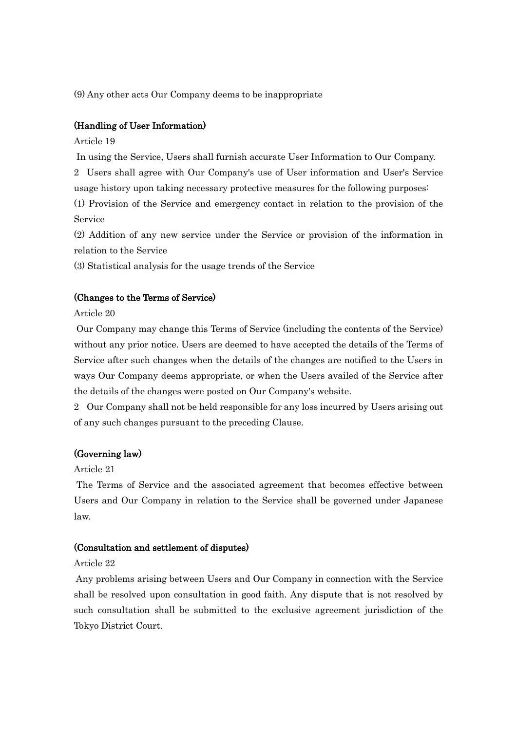(9) Any other acts Our Company deems to be inappropriate

## (Handling of User Information)

Article 19

In using the Service, Users shall furnish accurate User Information to Our Company.

2 Users shall agree with Our Company's use of User information and User's Service usage history upon taking necessary protective measures for the following purposes:

(1) Provision of the Service and emergency contact in relation to the provision of the Service

(2) Addition of any new service under the Service or provision of the information in relation to the Service

(3) Statistical analysis for the usage trends of the Service

#### (Changes to the Terms of Service)

Article 20

Our Company may change this Terms of Service (including the contents of the Service) without any prior notice. Users are deemed to have accepted the details of the Terms of Service after such changes when the details of the changes are notified to the Users in ways Our Company deems appropriate, or when the Users availed of the Service after the details of the changes were posted on Our Company's website.

2 Our Company shall not be held responsible for any loss incurred by Users arising out of any such changes pursuant to the preceding Clause.

## (Governing law)

Article 21

The Terms of Service and the associated agreement that becomes effective between Users and Our Company in relation to the Service shall be governed under Japanese law.

## (Consultation and settlement of disputes)

### Article 22

Any problems arising between Users and Our Company in connection with the Service shall be resolved upon consultation in good faith. Any dispute that is not resolved by such consultation shall be submitted to the exclusive agreement jurisdiction of the Tokyo District Court.